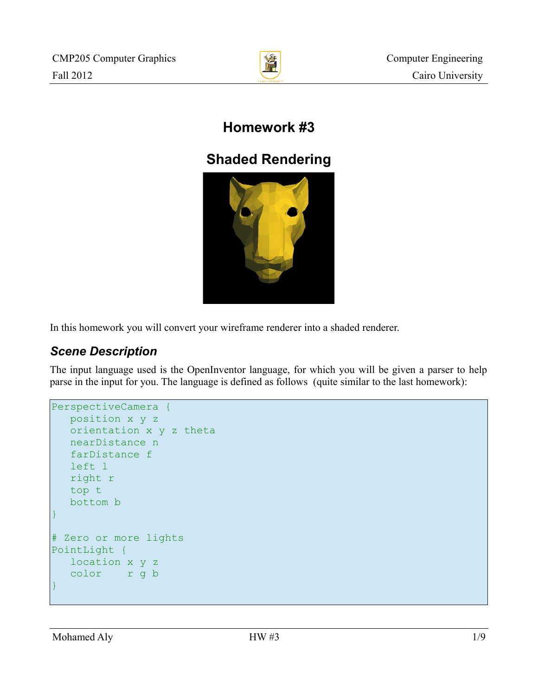

# **Homework #3**

# **Shaded Rendering**



In this homework you will convert your wireframe renderer into a shaded renderer.

# *Scene Description*

The input language used is the OpenInventor language, for which you will be given a parser to help parse in the input for you. The language is defined as follows (quite similar to the last homework):

```
PerspectiveCamera {
   position x y z
   orientation x y z theta
    nearDistance n
    farDistance f
    left l
    right r
    top t
    bottom b
}
# Zero or more lights
PointLight {
    location x y z
    color r g b
}
```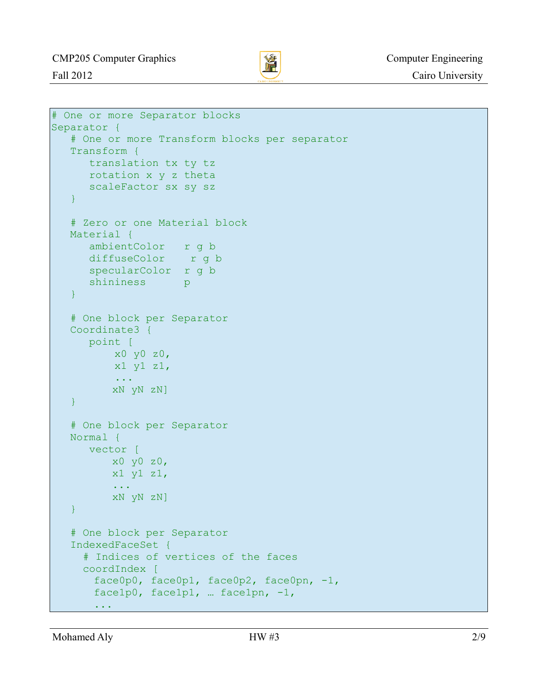

```
# One or more Separator blocks
Separator {
   # One or more Transform blocks per separator
    Transform {
      translation tx ty tz
      rotation x y z theta
      scaleFactor sx sy sz
    }
    # Zero or one Material block
   Material {
      ambientColor r g b
      diffuseColor r g b
      specularColor r g b
      shininess p
    }
    # One block per Separator
    Coordinate3 {
      point [ 
           x0 y0 z0,
           x1 y1 z1,
           ...
         xN yN zN]
    }
    # One block per Separator
   Normal {
      vector [ 
        x0 y0 z0,
         x1 y1 z1,
          ...
         xN yN zN]
    }
    # One block per Separator
    IndexedFaceSet {
      # Indices of vertices of the faces
      coordIndex [ 
       face0p0, face0p1, face0p2, face0pn, -1,
       face1p0, face1p1, … face1pn, -1,
        ...
```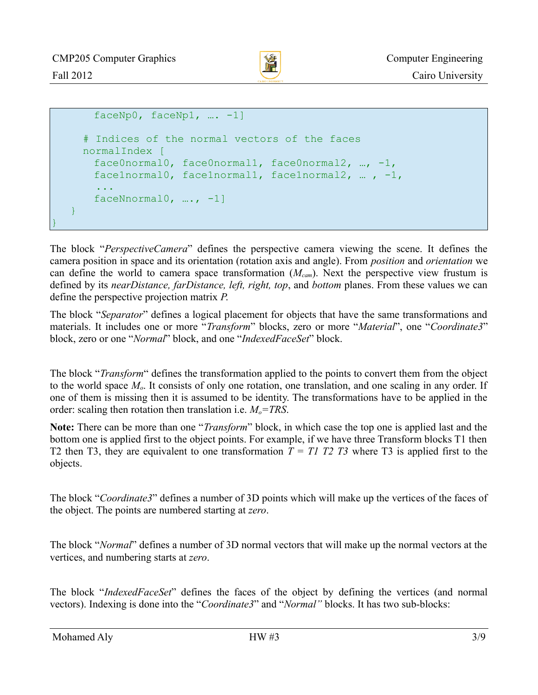}



```
faceNp0, faceNp1, ... -1]
      # Indices of the normal vectors of the faces
      normalIndex [ 
       face0normal0, face0normal1, face0normal2, …, -1,
       face1normal0, face1normal1, face1normal2, … , -1,
 ...
       faceNnormal0, …., -1]
    }
```
The block "*PerspectiveCamera*" defines the perspective camera viewing the scene. It defines the camera position in space and its orientation (rotation axis and angle). From *position* and *orientation* we can define the world to camera space transformation (*Mcam*). Next the perspective view frustum is defined by its *nearDistance, farDistance, left, right, top*, and *bottom* planes. From these values we can define the perspective projection matrix *P*.

The block "*Separator*" defines a logical placement for objects that have the same transformations and materials. It includes one or more "*Transform*" blocks, zero or more "*Material*", one "*Coordinate3*" block, zero or one "*Normal*" block, and one "*IndexedFaceSet*" block.

The block "*Transform*" defines the transformation applied to the points to convert them from the object to the world space *Mo*. It consists of only one rotation, one translation, and one scaling in any order. If one of them is missing then it is assumed to be identity. The transformations have to be applied in the order: scaling then rotation then translation i.e. *Mo=TRS*.

**Note:** There can be more than one "*Transform*" block, in which case the top one is applied last and the bottom one is applied first to the object points. For example, if we have three Transform blocks T1 then T2 then T3, they are equivalent to one transformation  $T = T1$  T2 T3 where T3 is applied first to the objects.

The block "*Coordinate3*" defines a number of 3D points which will make up the vertices of the faces of the object. The points are numbered starting at *zero*.

The block "*Normal*" defines a number of 3D normal vectors that will make up the normal vectors at the vertices, and numbering starts at *zero*.

The block "*IndexedFaceSet*" defines the faces of the object by defining the vertices (and normal vectors). Indexing is done into the "*Coordinate3*" and "*Normal"* blocks. It has two sub-blocks: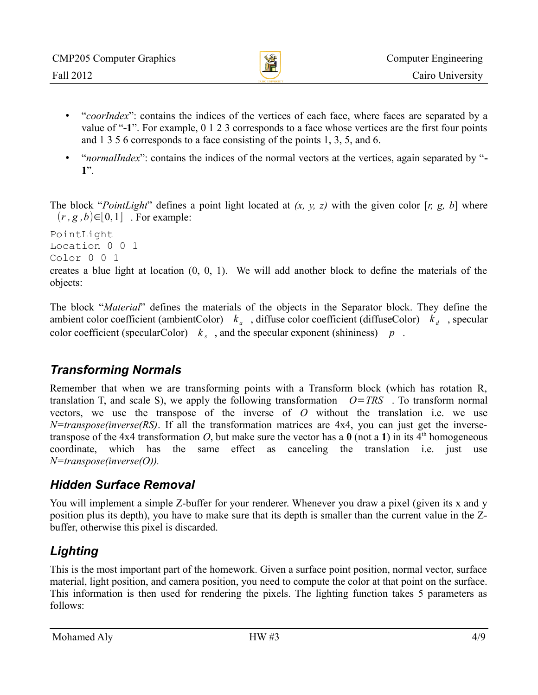

- "*coorIndex*": contains the indices of the vertices of each face, where faces are separated by a value of "**-1**". For example, 0 1 2 3 corresponds to a face whose vertices are the first four points and 1 3 5 6 corresponds to a face consisting of the points 1, 3, 5, and 6.
- "*normalIndex*": contains the indices of the normal vectors at the vertices, again separated by "**- 1**".

The block "*PointLight*" defines a point light located at *(x, y, z)* with the given color [*r, g, b*] where  $(r, g, b) \in [0, 1]$  . For example:

PointLight Location 0 0 1 Color 0 0 1

creates a blue light at location (0, 0, 1). We will add another block to define the materials of the objects:

The block "*Material*" defines the materials of the objects in the Separator block. They define the ambient color coefficient (ambientColor)  $k_a$ , diffuse color coefficient (diffuseColor)  $k_d$ , specular color coefficient (specularColor)  $k<sub>s</sub>$ , and the specular exponent (shininess)  $p$ .

## *Transforming Normals*

Remember that when we are transforming points with a Transform block (which has rotation R, translation T, and scale S), we apply the following transformation  $O=TRS$ . To transform normal vectors, we use the transpose of the inverse of *O* without the translation i.e. we use *N=transpose(inverse(RS)*. If all the transformation matrices are 4x4, you can just get the inversetranspose of the 4x4 transformation O, but make sure the vector has a  $\theta$  (not a 1) in its 4<sup>th</sup> homogeneous coordinate, which has the same effect as canceling the translation i.e. just use *N=transpose(inverse(O)).*

### *Hidden Surface Removal*

You will implement a simple Z-buffer for your renderer. Whenever you draw a pixel (given its x and y position plus its depth), you have to make sure that its depth is smaller than the current value in the Zbuffer, otherwise this pixel is discarded.

# *Lighting*

This is the most important part of the homework. Given a surface point position, normal vector, surface material, light position, and camera position, you need to compute the color at that point on the surface. This information is then used for rendering the pixels. The lighting function takes 5 parameters as follows: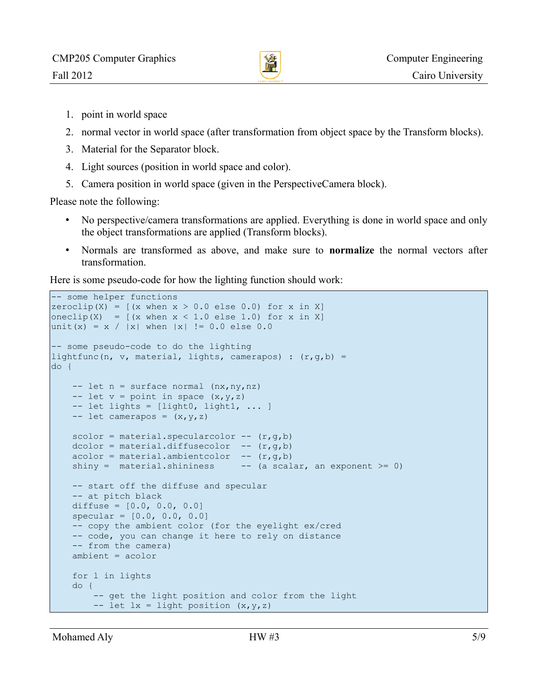

- 1. point in world space
- 2. normal vector in world space (after transformation from object space by the Transform blocks).
- 3. Material for the Separator block.
- 4. Light sources (position in world space and color).
- 5. Camera position in world space (given in the PerspectiveCamera block).

Please note the following:

- No perspective/camera transformations are applied. Everything is done in world space and only the object transformations are applied (Transform blocks).
- Normals are transformed as above, and make sure to **normalize** the normal vectors after transformation.

Here is some pseudo-code for how the lighting function should work:

```
-- some helper functions
|zeroclip(X) = [(x when x > 0.0 else 0.0) for x in X]\vertoneclip(X) = [(x when x < 1.0 else 1.0) for x in X]
\text{unit}(x) = x / |x| \text{ when } |x| := 0.0 \text{ else } 0.0-- some pseudo-code to do the lighting
lightfunc(n, v, material, lights, camerapos) : (r,q,b) =
do {
    -- let n = surface normal (nx, ny, nz)-- let v = point in space (x, y, z)-- let lights = [light0, light1, ... ]
    -- let camerapos = (x, y, z)scolor = material.\nspectral.\nSpecularcolor -- (r,g,b)dcolor = material.diffusecolor -- (r,g,b)acolor = material.annotation - (r,q,b)shiny = material.shininess - - (a scalar, an exponent >= 0)
     -- start off the diffuse and specular
     -- at pitch black
     diffuse = [0.0, 0.0, 0.0]
    spectar = [0.0, 0.0, 0.0] -- copy the ambient color (for the eyelight ex/cred
     -- code, you can change it here to rely on distance
     -- from the camera)
     ambient = acolor
     for l in lights
     do {
         -- get the light position and color from the light
        -- let lx = light position (x,y,z)
```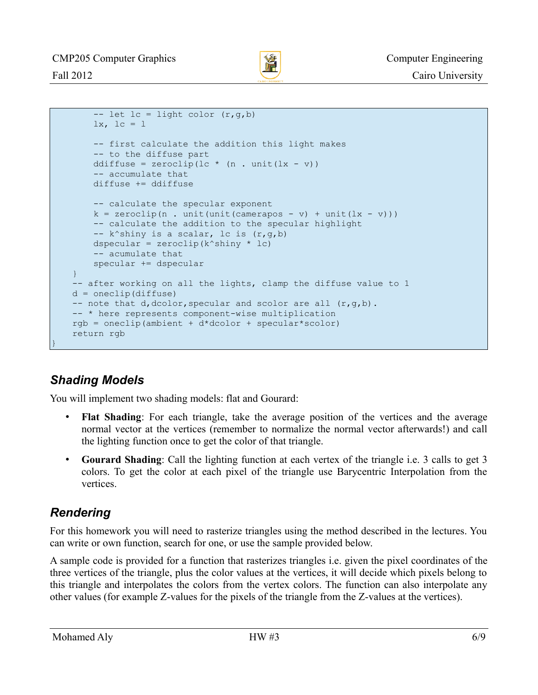

```
-- let lc = light color (r,g,b)lx, lc = 1 -- first calculate the addition this light makes
     -- to the diffuse part
    ddiffuse = zeroclip(lc * (n . unit(lx - v))
     -- accumulate that
     diffuse += ddiffuse
     -- calculate the specular exponent
    k = zeroclip(n . unit(unit(camerapos - v) + unit(lx - v))) -- calculate the addition to the specular highlight
    - k^shiny is a scalar, lc is (r,q,b)dspecular = zeroclip(k^{\wedge}shiny * lc)
     -- acumulate that
     specular += dspecular
 }
 -- after working on all the lights, clamp the diffuse value to 1
d = oneclip(diffuse)-- note that d, dcolor, specular and scolor are all (r, q, b).
 -- * here represents component-wise multiplication
rgb = oneclip(ambient + d*dcolor + specular*scolor)
 return rgb
```
## *Shading Models*

}

You will implement two shading models: flat and Gourard:

- **Flat Shading**: For each triangle, take the average position of the vertices and the average normal vector at the vertices (remember to normalize the normal vector afterwards!) and call the lighting function once to get the color of that triangle.
- **Gourard Shading**: Call the lighting function at each vertex of the triangle i.e. 3 calls to get 3 colors. To get the color at each pixel of the triangle use Barycentric Interpolation from the vertices.

#### *Rendering*

For this homework you will need to rasterize triangles using the method described in the lectures. You can write or own function, search for one, or use the sample provided below.

A sample code is provided for a function that rasterizes triangles i.e. given the pixel coordinates of the three vertices of the triangle, plus the color values at the vertices, it will decide which pixels belong to this triangle and interpolates the colors from the vertex colors. The function can also interpolate any other values (for example Z-values for the pixels of the triangle from the Z-values at the vertices).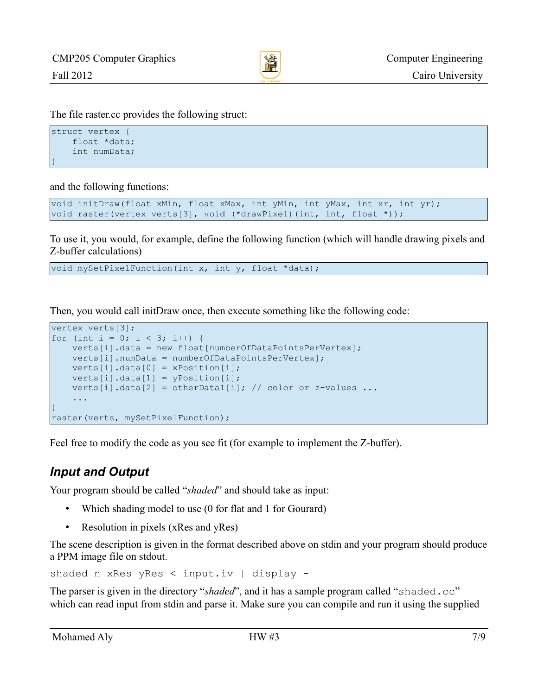

The file raster.cc provides the following struct:

```
struct vertex {
     float *data;
     int numData;
}
```
and the following functions:

```
void initDraw(float xMin, float xMax, int yMin, int yMax, int xr, int yr);
void raster(vertex verts[3], void (*drawPixel)(int, int, float *));
```
To use it, you would, for example, define the following function (which will handle drawing pixels and Z-buffer calculations)

void mySetPixelFunction(int x, int y, float \*data);

Then, you would call initDraw once, then execute something like the following code:

```
vertex verts[3];
for (int i = 0; i < 3; i++) {
    verts[i].data = new float[numberOfDataPointsPerVertex];
    verts[i].numData = numberOfDataPointsPerVertex];
   verts[i].data[0] = xPosition[i];verts[i].data[1] = yPosition[i];verts[i].data[2] = otherData1[i]; // color or z-values ...
 ...
}
raster(verts, mySetPixelFunction);
```
Feel free to modify the code as you see fit (for example to implement the Z-buffer).

### *Input and Output*

Your program should be called "*shaded*" and should take as input:

- Which shading model to use (0 for flat and 1 for Gourard)
- Resolution in pixels (xRes and yRes)

The scene description is given in the format described above on stdin and your program should produce a PPM image file on stdout.

shaded n xRes yRes < input.iv | display -

The parser is given in the directory "*shaded*", and it has a sample program called "shaded.cc" which can read input from stdin and parse it. Make sure you can compile and run it using the supplied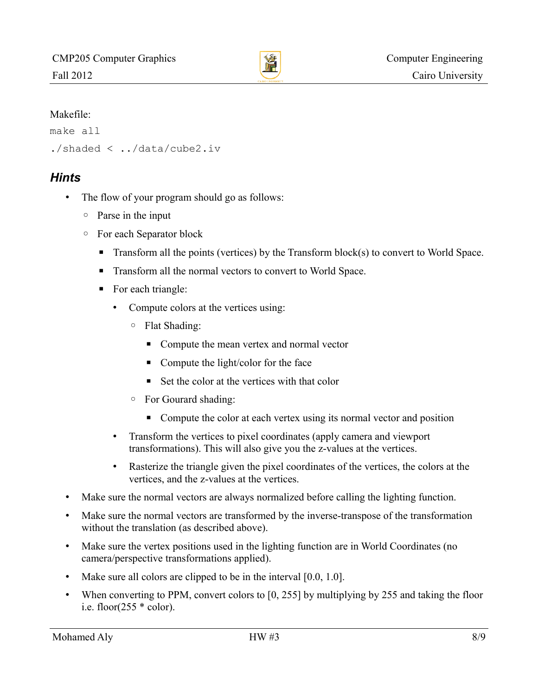

#### Makefile:

```
make all
./shaded < ../data/cube2.iv
```
#### *Hints*

- The flow of your program should go as follows:
	- Parse in the input
	- For each Separator block
		- Transform all the points (vertices) by the Transform block(s) to convert to World Space.
		- Transform all the normal vectors to convert to World Space.
		- For each triangle:
			- Compute colors at the vertices using:
				- Flat Shading:
					- Compute the mean vertex and normal vector
					- Compute the light/color for the face
					- $\blacksquare$  Set the color at the vertices with that color
				- For Gourard shading:
					- Compute the color at each vertex using its normal vector and position
			- Transform the vertices to pixel coordinates (apply camera and viewport transformations). This will also give you the z-values at the vertices.
			- Rasterize the triangle given the pixel coordinates of the vertices, the colors at the vertices, and the z-values at the vertices.
- Make sure the normal vectors are always normalized before calling the lighting function.
- Make sure the normal vectors are transformed by the inverse-transpose of the transformation without the translation (as described above).
- Make sure the vertex positions used in the lighting function are in World Coordinates (no camera/perspective transformations applied).
- Make sure all colors are clipped to be in the interval [0.0, 1.0].
- When converting to PPM, convert colors to [0, 255] by multiplying by 255 and taking the floor i.e. floor( $255 * \text{color}$ ).